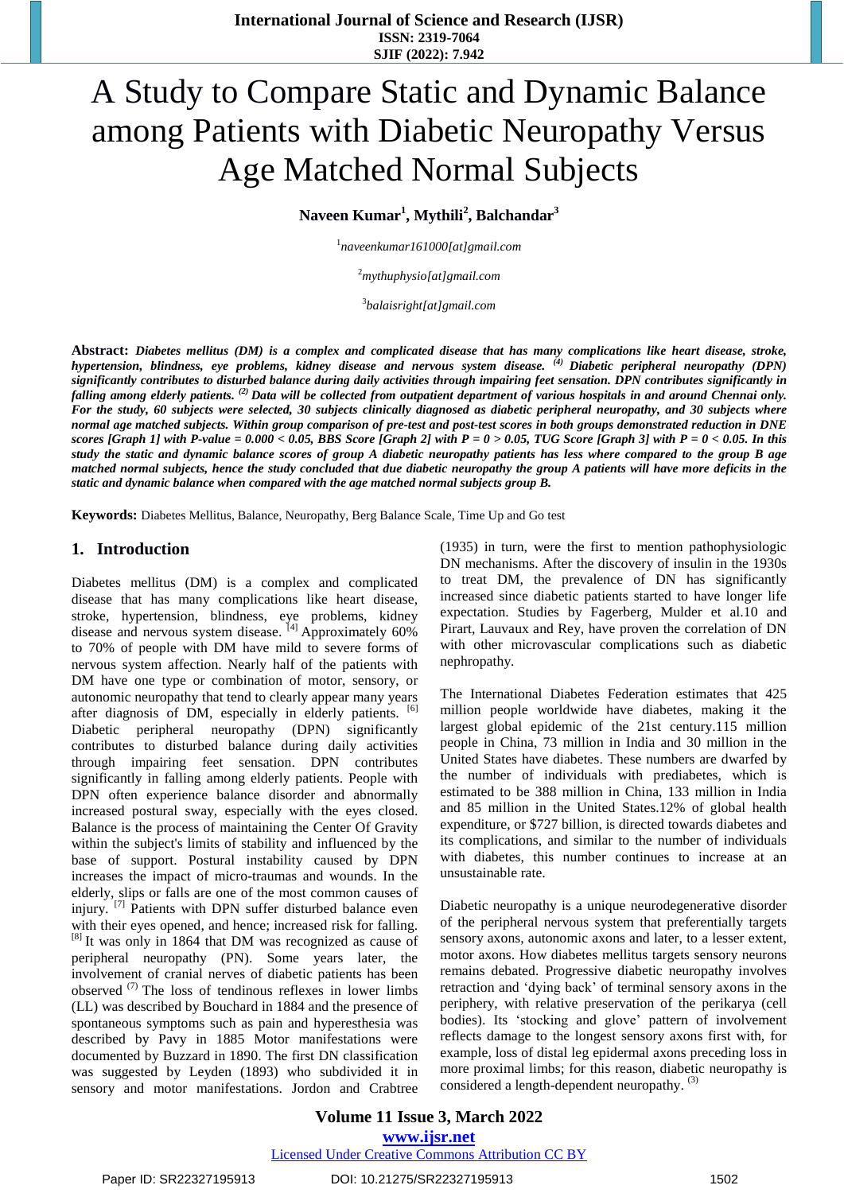# A Study to Compare Static and Dynamic Balance among Patients with Diabetic Neuropathy Versus Age Matched Normal Subjects

**Naveen Kumar<sup>1</sup> , Mythili<sup>2</sup> , Balchandar<sup>3</sup>**

1 *[naveenkumar161000\[at\]gmail.com](mailto:naveenkumar161000@gmail.com)*

<sup>2</sup>*[mythuphysio\[at\]gmail.com](mailto:mythuphysio@gmail.com)*

3 *[balaisright\[at\]gmail.com](mailto:balaisright@gmail.com)*

Abstract: Diabetes mellitus (DM) is a complex and complicated disease that has many complications like heart disease, stroke, *hypertension, blindness, eye problems, kidney disease and nervous system disease. (4) Diabetic peripheral neuropathy (DPN)*  significantly contributes to disturbed balance during daily activities through impairing feet sensation. DPN contributes significantly in falling among elderly patients. <sup>(2)</sup> Data will be collected from outpatient department of various hospitals in and around Chennai only. For the study, 60 subjects were selected, 30 subjects clinically diagnosed as diabetic peripheral neuropathy, and 30 subjects where normal age matched subjects. Within group comparison of pre-test and post-test scores in both groups demonstrated reduction in DNE scores [Graph 1] with P-value =  $0.000 < 0.05$ , BBS Score [Graph 2] with P =  $0 > 0.05$ , TUG Score [Graph 3] with P =  $0 < 0.05$ . In this study the static and dynamic balance scores of group A diabetic neuropathy patients has less where compared to the group B age matched normal subjects, hence the study concluded that due diabetic neuropathy the group A patients will have more deficits in the *static and dynamic balance when compared with the age matched normal subjects group B.* 

**Keywords:** Diabetes Mellitus, Balance, Neuropathy, Berg Balance Scale, Time Up and Go test

## **1. Introduction**

Diabetes mellitus (DM) is a complex and complicated disease that has many complications like heart disease, stroke, hypertension, blindness, eye problems, kidney disease and nervous system disease. <sup>[4]</sup> Approximately 60% to 70% of people with DM have mild to severe forms of nervous system affection. Nearly half of the patients with DM have one type or combination of motor, sensory, or autonomic neuropathy that tend to clearly appear many years after diagnosis of DM, especially in elderly patients. [6] Diabetic peripheral neuropathy (DPN) significantly contributes to disturbed balance during daily activities through impairing feet sensation. DPN contributes significantly in falling among elderly patients. People with DPN often experience balance disorder and abnormally increased postural sway, especially with the eyes closed. Balance is the process of maintaining the Center Of Gravity within the subject's limits of stability and influenced by the base of support. Postural instability caused by DPN increases the impact of micro-traumas and wounds. In the elderly, slips or falls are one of the most common causes of injury. [7] Patients with DPN suffer disturbed balance even with their eyes opened, and hence; increased risk for falling. <sup>[8]</sup> It was only in 1864 that DM was recognized as cause of peripheral neuropathy (PN). Some years later, the involvement of cranial nerves of diabetic patients has been observed  $(7)$  The loss of tendinous reflexes in lower limbs (LL) was described by Bouchard in 1884 and the presence of spontaneous symptoms such as pain and hyperesthesia was described by Pavy in 1885 Motor manifestations were documented by Buzzard in 1890. The first DN classification was suggested by Leyden (1893) who subdivided it in sensory and motor manifestations. Jordon and Crabtree (1935) in turn, were the first to mention pathophysiologic DN mechanisms. After the discovery of insulin in the 1930s to treat DM, the prevalence of DN has significantly increased since diabetic patients started to have longer life expectation. Studies by Fagerberg, Mulder et al.10 and Pirart, Lauvaux and Rey, have proven the correlation of DN with other microvascular complications such as diabetic nephropathy.

The International Diabetes Federation estimates that 425 million people worldwide have diabetes, making it the largest global epidemic of the 21st century.115 million people in China, 73 million in India and 30 million in the United States have diabetes. These numbers are dwarfed by the number of individuals with prediabetes, which is estimated to be 388 million in China, 133 million in India and 85 million in the United States.12% of global health expenditure, or \$727 billion, is directed towards diabetes and its complications, and similar to the number of individuals with diabetes, this number continues to increase at an unsustainable rate.

Diabetic neuropathy is a unique neurodegenerative disorder of the peripheral nervous system that preferentially targets sensory axons, autonomic axons and later, to a lesser extent, motor axons. How diabetes mellitus targets sensory neurons remains debated. Progressive diabetic neuropathy involves retraction and 'dying back' of terminal sensory axons in the periphery, with relative preservation of the perikarya (cell bodies). Its 'stocking and glove' pattern of involvement reflects damage to the longest sensory axons first with, for example, loss of distal leg epidermal axons preceding loss in more proximal limbs; for this reason, diabetic neuropathy is considered a length-dependent neuropathy.<sup>(3)</sup>

# **Volume 11 Issue 3, March 2022 www.ijsr.net**

Licensed Under Creative Commons Attribution CC BY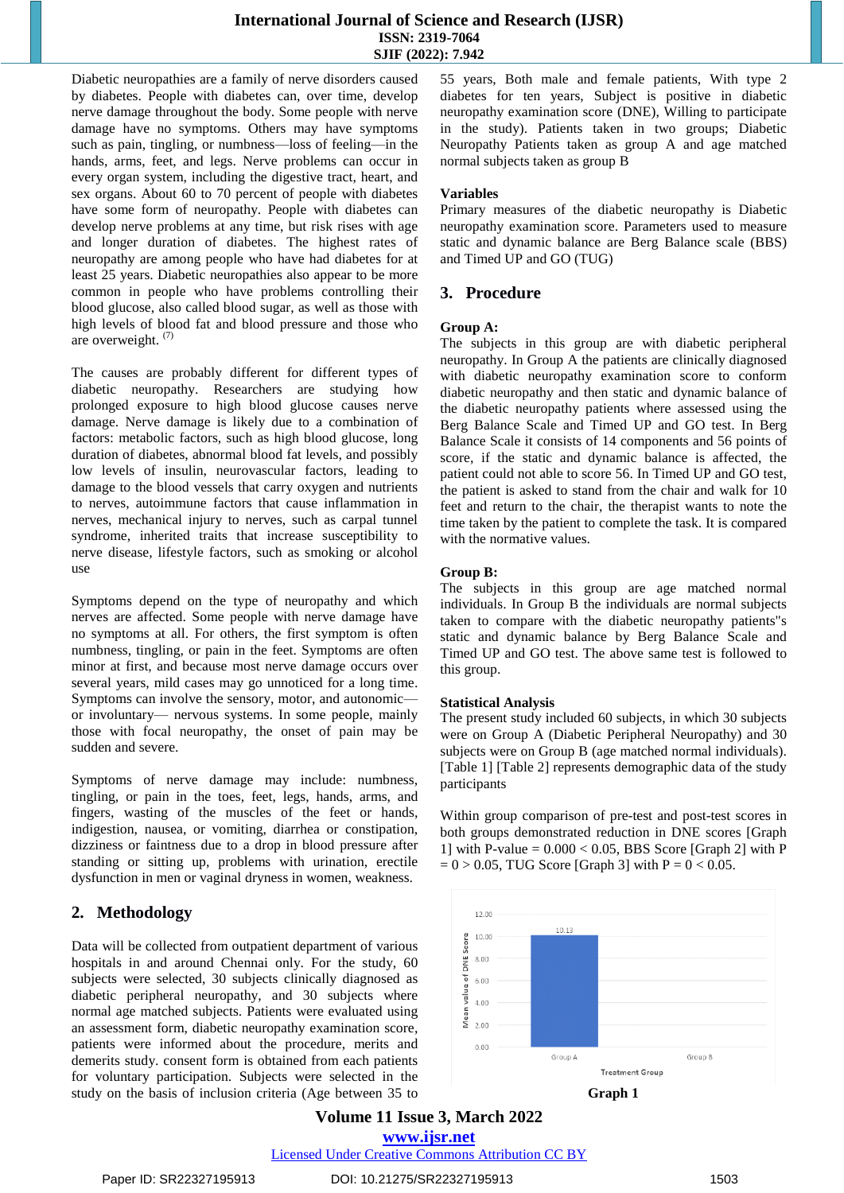## **International Journal of Science and Research (IJSR) ISSN: 2319-7064 SJIF (2022): 7.942**

Diabetic neuropathies are a family of nerve disorders caused by diabetes. People with diabetes can, over time, develop nerve damage throughout the body. Some people with nerve damage have no symptoms. Others may have symptoms such as pain, tingling, or numbness—loss of feeling—in the hands, arms, feet, and legs. Nerve problems can occur in every organ system, including the digestive tract, heart, and sex organs. About 60 to 70 percent of people with diabetes have some form of neuropathy. People with diabetes can develop nerve problems at any time, but risk rises with age and longer duration of diabetes. The highest rates of neuropathy are among people who have had diabetes for at least 25 years. Diabetic neuropathies also appear to be more common in people who have problems controlling their blood glucose, also called blood sugar, as well as those with high levels of blood fat and blood pressure and those who are overweight. (7)

The causes are probably different for different types of diabetic neuropathy. Researchers are studying how prolonged exposure to high blood glucose causes nerve damage. Nerve damage is likely due to a combination of factors: metabolic factors, such as high blood glucose, long duration of diabetes, abnormal blood fat levels, and possibly low levels of insulin, neurovascular factors, leading to damage to the blood vessels that carry oxygen and nutrients to nerves, autoimmune factors that cause inflammation in nerves, mechanical injury to nerves, such as carpal tunnel syndrome, inherited traits that increase susceptibility to nerve disease, lifestyle factors, such as smoking or alcohol use

Symptoms depend on the type of neuropathy and which nerves are affected. Some people with nerve damage have no symptoms at all. For others, the first symptom is often numbness, tingling, or pain in the feet. Symptoms are often minor at first, and because most nerve damage occurs over several years, mild cases may go unnoticed for a long time. Symptoms can involve the sensory, motor, and autonomic or involuntary— nervous systems. In some people, mainly those with focal neuropathy, the onset of pain may be sudden and severe.

Symptoms of nerve damage may include: numbness, tingling, or pain in the toes, feet, legs, hands, arms, and fingers, wasting of the muscles of the feet or hands, indigestion, nausea, or vomiting, diarrhea or constipation, dizziness or faintness due to a drop in blood pressure after standing or sitting up, problems with urination, erectile dysfunction in men or vaginal dryness in women, weakness.

# **2. Methodology**

Data will be collected from outpatient department of various hospitals in and around Chennai only. For the study, 60 subjects were selected, 30 subjects clinically diagnosed as diabetic peripheral neuropathy, and 30 subjects where normal age matched subjects. Patients were evaluated using an assessment form, diabetic neuropathy examination score, patients were informed about the procedure, merits and demerits study. consent form is obtained from each patients for voluntary participation. Subjects were selected in the study on the basis of inclusion criteria (Age between 35 to 55 years, Both male and female patients, With type 2 diabetes for ten years, Subject is positive in diabetic neuropathy examination score (DNE), Willing to participate in the study). Patients taken in two groups; Diabetic Neuropathy Patients taken as group A and age matched normal subjects taken as group B

#### **Variables**

Primary measures of the diabetic neuropathy is Diabetic neuropathy examination score. Parameters used to measure static and dynamic balance are Berg Balance scale (BBS) and Timed UP and GO (TUG)

## **3. Procedure**

#### **Group A:**

The subjects in this group are with diabetic peripheral neuropathy. In Group A the patients are clinically diagnosed with diabetic neuropathy examination score to conform diabetic neuropathy and then static and dynamic balance of the diabetic neuropathy patients where assessed using the Berg Balance Scale and Timed UP and GO test. In Berg Balance Scale it consists of 14 components and 56 points of score, if the static and dynamic balance is affected, the patient could not able to score 56. In Timed UP and GO test, the patient is asked to stand from the chair and walk for 10 feet and return to the chair, the therapist wants to note the time taken by the patient to complete the task. It is compared with the normative values.

#### **Group B:**

The subjects in this group are age matched normal individuals. In Group B the individuals are normal subjects taken to compare with the diabetic neuropathy patients"s static and dynamic balance by Berg Balance Scale and Timed UP and GO test. The above same test is followed to this group.

#### **Statistical Analysis**

The present study included 60 subjects, in which 30 subjects were on Group A (Diabetic Peripheral Neuropathy) and 30 subjects were on Group B (age matched normal individuals). [Table 1] [Table 2] represents demographic data of the study participants

Within group comparison of pre-test and post-test scores in both groups demonstrated reduction in DNE scores [Graph 1] with P-value  $= 0.000 < 0.05$ , BBS Score [Graph 2] with P  $= 0 > 0.05$ , TUG Score [Graph 3] with  $P = 0 < 0.05$ .



**Volume 11 Issue 3, March 2022 www.ijsr.net**

Licensed Under Creative Commons Attribution CC BY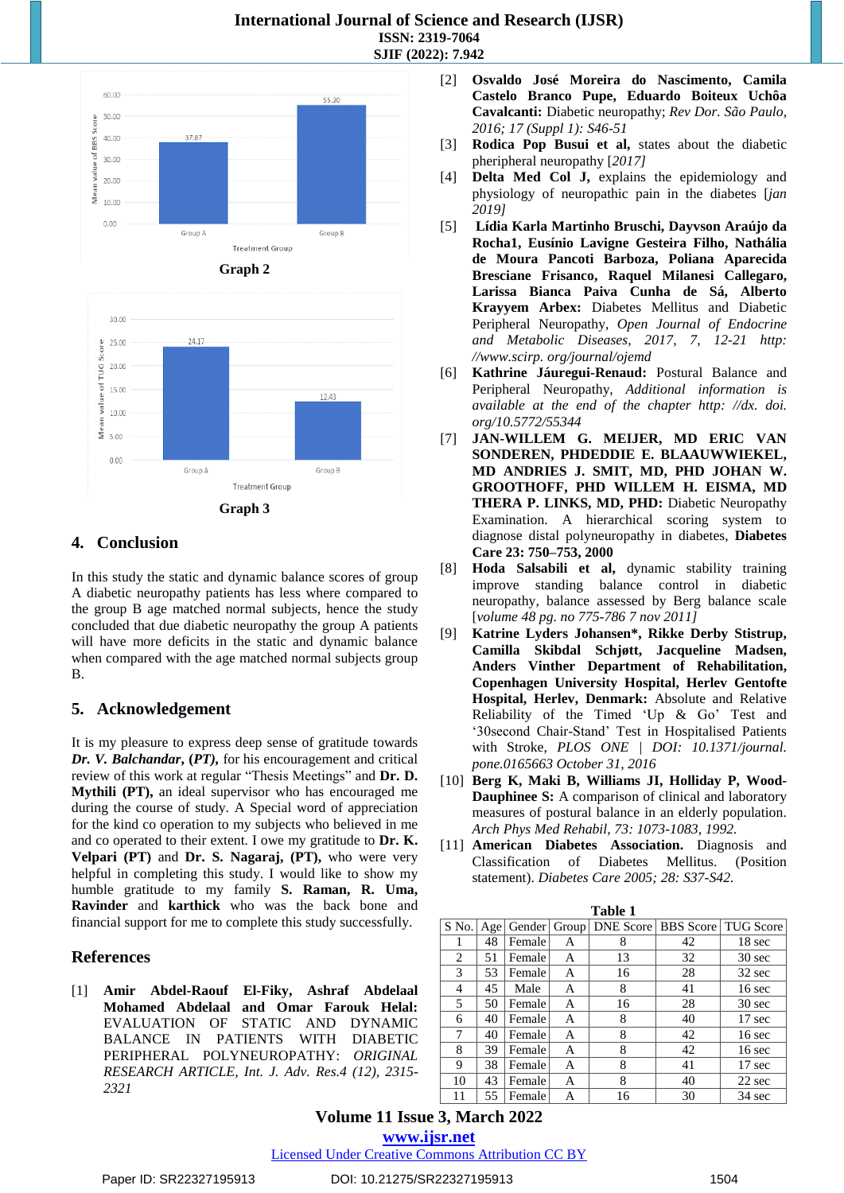



## **4. Conclusion**

In this study the static and dynamic balance scores of group A diabetic neuropathy patients has less where compared to the group B age matched normal subjects, hence the study concluded that due diabetic neuropathy the group A patients will have more deficits in the static and dynamic balance when compared with the age matched normal subjects group B.

# **5. Acknowledgement**

It is my pleasure to express deep sense of gratitude towards *Dr. V. Balchandar***, (***PT),* for his encouragement and critical review of this work at regular "Thesis Meetings" and **Dr. D. Mythili (PT),** an ideal supervisor who has encouraged me during the course of study. A Special word of appreciation for the kind co operation to my subjects who believed in me and co operated to their extent. I owe my gratitude to **Dr. K. Velpari (PT)** and **Dr. S. Nagaraj, (PT),** who were very helpful in completing this study. I would like to show my humble gratitude to my family **S. Raman, R. Uma, Ravinder** and **karthick** who was the back bone and financial support for me to complete this study successfully.

# **References**

[1] **Amir Abdel-Raouf El-Fiky, Ashraf Abdelaal Mohamed Abdelaal and Omar Farouk Helal:**  EVALUATION OF STATIC AND DYNAMIC BALANCE IN PATIENTS WITH DIABETIC PERIPHERAL POLYNEUROPATHY: *ORIGINAL RESEARCH ARTICLE, Int. J. Adv. Res.4 (12), 2315- 2321*

- [2] **Osvaldo José Moreira do Nascimento, Camila Castelo Branco Pupe, Eduardo Boiteux Uchôa Cavalcanti:** Diabetic neuropathy; *Rev Dor. São Paulo, 2016; 17 (Suppl 1): S46-51*
- [3] **Rodica Pop Busui et al,** states about the diabetic pheripheral neuropathy [*2017]*
- [4] **Delta Med Col J,** explains the epidemiology and physiology of neuropathic pain in the diabetes [*jan 2019]*
- [5] **Lídia Karla Martinho Bruschi, Dayvson Araújo da Rocha1, Eusínio Lavigne Gesteira Filho, Nathália de Moura Pancoti Barboza, Poliana Aparecida Bresciane Frisanco, Raquel Milanesi Callegaro, Larissa Bianca Paiva Cunha de Sá, Alberto Krayyem Arbex:** Diabetes Mellitus and Diabetic Peripheral Neuropathy, *Open Journal of Endocrine and Metabolic Diseases, 2017, 7, 12-21 [http:](http://www.scirp.org/journal/ojemd)  [//www.scirp. org/journal/ojemd](http://www.scirp.org/journal/ojemd)*
- [6] **Kathrine Jáuregui-Renaud:** Postural Balance and Peripheral Neuropathy, *Additional information is available at the end of the chapter [http: //dx. doi.](http://dx.doi.org/10.5772/55344)  [org/10.5772/55344](http://dx.doi.org/10.5772/55344)*
- [7] **JAN-WILLEM G. MEIJER, MD ERIC VAN SONDEREN, PHDEDDIE E. BLAAUWWIEKEL, MD ANDRIES J. SMIT, MD, PHD JOHAN W. GROOTHOFF, PHD WILLEM H. EISMA, MD THERA P. LINKS, MD, PHD:** Diabetic Neuropathy Examination. A hierarchical scoring system to diagnose distal polyneuropathy in diabetes, **Diabetes Care 23: 750–753, 2000**
- [8] **Hoda Salsabili et al,** dynamic stability training improve standing balance control in diabetic neuropathy, balance assessed by Berg balance scale [*volume 48 pg. no 775-786 7 nov 2011]*
- [9] **Katrine Lyders Johansen\*, Rikke Derby Stistrup, Camilla Skibdal Schjøtt, Jacqueline Madsen, Anders Vinther Department of Rehabilitation, Copenhagen University Hospital, Herlev Gentofte Hospital, Herlev, Denmark:** Absolute and Relative Reliability of the Timed 'Up & Go' Test and '30second Chair-Stand' Test in Hospitalised Patients with Stroke, *PLOS ONE | DOI: 10.1371/journal. pone.0165663 October 31, 2016*
- [10] **Berg K, Maki B, Williams JI, Holliday P, Wood-Dauphinee S:** A comparison of clinical and laboratory measures of postural balance in an elderly population. *Arch Phys Med Rehabil, 73: 1073-1083, 1992.*
- [11] **American Diabetes Association.** Diagnosis and Classification of Diabetes Mellitus. (Position statement). *Diabetes Care 2005; 28: S37-S42.*

| Table 1 |     |        |   |                               |    |                   |  |
|---------|-----|--------|---|-------------------------------|----|-------------------|--|
| S No.   | Age | Gender |   | Group   DNE Score   BBS Score |    | <b>TUG Score</b>  |  |
|         | 48  | Female | Α | 8                             | 42 | 18 sec            |  |
| 2       | 51  | Female | А | 13                            | 32 | $30 \text{ sec}$  |  |
| 3       | 53  | Female | А | 16                            | 28 | 32 sec            |  |
| 4       | 45  | Male   | Α | 8                             | 41 | $16 \text{ sec}$  |  |
| 5       | 50  | Female | A | 16                            | 28 | $30 \text{ sec}$  |  |
| 6       | 40  | Female | А | 8                             | 40 | 17 <sub>sec</sub> |  |
| 7       | 40  | Female | A | 8                             | 42 | $16 \text{ sec}$  |  |
| 8       | 39  | Female | А | 8                             | 42 | $16 \text{ sec}$  |  |
| 9       | 38  | Female | A | 8                             | 41 | 17 <sub>sec</sub> |  |
| 10      | 43  | Female | А | 8                             | 40 | 22 sec            |  |
| 11      | 55  | Female | A | 16                            | 30 | 34 sec            |  |

# **Volume 11 Issue 3, March 2022 www.ijsr.net**

Licensed Under Creative Commons Attribution CC BY